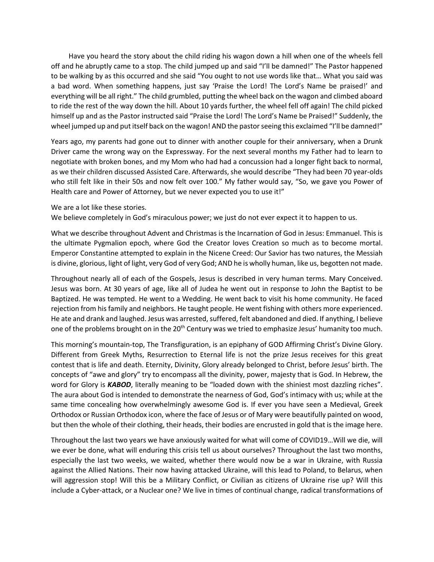Have you heard the story about the child riding his wagon down a hill when one of the wheels fell off and he abruptly came to a stop. The child jumped up and said "I'll be damned!" The Pastor happened to be walking by as this occurred and she said "You ought to not use words like that… What you said was a bad word. When something happens, just say 'Praise the Lord! The Lord's Name be praised!' and everything will be all right." The child grumbled, putting the wheel back on the wagon and climbed aboard to ride the rest of the way down the hill. About 10 yards further, the wheel fell off again! The child picked himself up and as the Pastor instructed said "Praise the Lord! The Lord's Name be Praised!" Suddenly, the wheel jumped up and put itself back on the wagon! AND the pastor seeing this exclaimed "I'll be damned!"

Years ago, my parents had gone out to dinner with another couple for their anniversary, when a Drunk Driver came the wrong way on the Expressway. For the next several months my Father had to learn to negotiate with broken bones, and my Mom who had had a concussion had a longer fight back to normal, as we their children discussed Assisted Care. Afterwards, she would describe "They had been 70 year-olds who still felt like in their 50s and now felt over 100." My father would say, "So, we gave you Power of Health care and Power of Attorney, but we never expected you to use it!"

## We are a lot like these stories.

We believe completely in God's miraculous power; we just do not ever expect it to happen to us.

What we describe throughout Advent and Christmas is the Incarnation of God in Jesus: Emmanuel. This is the ultimate Pygmalion epoch, where God the Creator loves Creation so much as to become mortal. Emperor Constantine attempted to explain in the Nicene Creed: Our Savior has two natures, the Messiah is divine, glorious, light of light, very God of very God; AND he is wholly human, like us, begotten not made.

Throughout nearly all of each of the Gospels, Jesus is described in very human terms. Mary Conceived. Jesus was born. At 30 years of age, like all of Judea he went out in response to John the Baptist to be Baptized. He was tempted. He went to a Wedding. He went back to visit his home community. He faced rejection from his family and neighbors. He taught people. He went fishing with others more experienced. He ate and drank and laughed. Jesus was arrested, suffered, felt abandoned and died. If anything, I believe one of the problems brought on in the 20<sup>th</sup> Century was we tried to emphasize Jesus' humanity too much.

This morning's mountain-top, The Transfiguration, is an epiphany of GOD Affirming Christ's Divine Glory. Different from Greek Myths, Resurrection to Eternal life is not the prize Jesus receives for this great contest that is life and death. Eternity, Divinity, Glory already belonged to Christ, before Jesus' birth. The concepts of "awe and glory" try to encompass all the divinity, power, majesty that is God. In Hebrew, the word for Glory is **KABOD**, literally meaning to be "loaded down with the shiniest most dazzling riches". The aura about God is intended to demonstrate the nearness of God, God's intimacy with us; while at the same time concealing how overwhelmingly awesome God is. If ever you have seen a Medieval, Greek Orthodox or Russian Orthodox icon, where the face of Jesus or of Mary were beautifully painted on wood, but then the whole of their clothing, their heads, their bodies are encrusted in gold that is the image here.

Throughout the last two years we have anxiously waited for what will come of COVID19…Will we die, will we ever be done, what will enduring this crisis tell us about ourselves? Throughout the last two months, especially the last two weeks, we waited, whether there would now be a war in Ukraine, with Russia against the Allied Nations. Their now having attacked Ukraine, will this lead to Poland, to Belarus, when will aggression stop! Will this be a Military Conflict, or Civilian as citizens of Ukraine rise up? Will this include a Cyber-attack, or a Nuclear one? We live in times of continual change, radical transformations of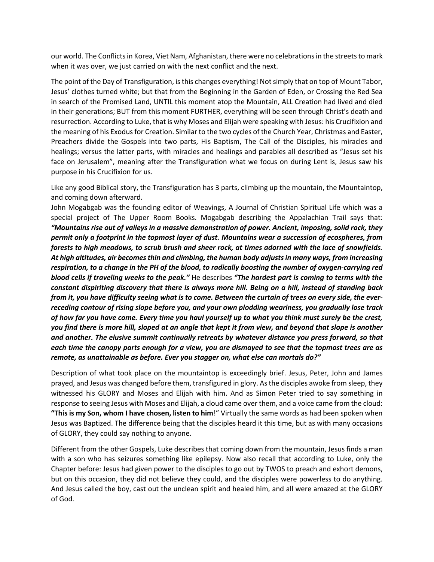our world. The Conflictsin Korea, Viet Nam, Afghanistan, there were no celebrations in the streetsto mark when it was over, we just carried on with the next conflict and the next.

The point of the Day of Transfiguration, is this changes everything! Not simply that on top of Mount Tabor, Jesus' clothes turned white; but that from the Beginning in the Garden of Eden, or Crossing the Red Sea in search of the Promised Land, UNTIL this moment atop the Mountain, ALL Creation had lived and died in their generations; BUT from this moment FURTHER, everything will be seen through Christ's death and resurrection. According to Luke, that is why Moses and Elijah were speaking with Jesus: his Crucifixion and the meaning of his Exodus for Creation. Similar to the two cycles of the Church Year, Christmas and Easter, Preachers divide the Gospels into two parts, His Baptism, The Call of the Disciples, his miracles and healings; versus the latter parts, with miracles and healings and parables all described as "Jesus set his face on Jerusalem", meaning after the Transfiguration what we focus on during Lent is, Jesus saw his purpose in his Crucifixion for us.

Like any good Biblical story, the Transfiguration has 3 parts, climbing up the mountain, the Mountaintop, and coming down afterward.

John Mogabgab was the founding editor of Weavings, A Journal of Christian Spiritual Life which was a special project of The Upper Room Books. Mogabgab describing the Appalachian Trail says that: *"Mountains rise out of valleys in a massive demonstration of power. Ancient, imposing, solid rock, they permit only a footprint in the topmost layer of dust. Mountains wear a succession of ecospheres, from forests to high meadows, to scrub brush and sheer rock, at times adorned with the lace of snowfields. At high altitudes, air becomes thin and climbing, the human body adjusts in many ways, from increasing respiration, to a change in the PH of the blood, to radically boosting the number of oxygen-carrying red blood cells if traveling weeks to the peak."* He describes *"The hardest part is coming to terms with the constant dispiriting discovery that there is always more hill. Being on a hill, instead of standing back from it, you have difficulty seeing what is to come. Between the curtain of trees on every side, the everreceding contour of rising slope before you, and your own plodding weariness, you gradually lose track of how far you have come. Every time you haul yourself up to what you think must surely be the crest, you find there is more hill, sloped at an angle that kept it from view, and beyond that slope is another and another. The elusive summit continually retreats by whatever distance you press forward, so that each time the canopy parts enough for a view, you are dismayed to see that the topmost trees are as remote, as unattainable as before. Ever you stagger on, what else can mortals do?"*

Description of what took place on the mountaintop is exceedingly brief. Jesus, Peter, John and James prayed, and Jesus was changed before them, transfigured in glory. As the disciples awoke from sleep, they witnessed his GLORY and Moses and Elijah with him. And as Simon Peter tried to say something in response to seeing Jesus with Moses and Elijah, a cloud came over them, and a voice came from the cloud: **"This is my Son, whom I have chosen, listen to him**!" Virtually the same words as had been spoken when Jesus was Baptized. The difference being that the disciples heard it this time, but as with many occasions of GLORY, they could say nothing to anyone.

Different from the other Gospels, Luke describes that coming down from the mountain, Jesus finds a man with a son who has seizures something like epilepsy. Now also recall that according to Luke, only the Chapter before: Jesus had given power to the disciples to go out by TWOS to preach and exhort demons, but on this occasion, they did not believe they could, and the disciples were powerless to do anything. And Jesus called the boy, cast out the unclean spirit and healed him, and all were amazed at the GLORY of God.